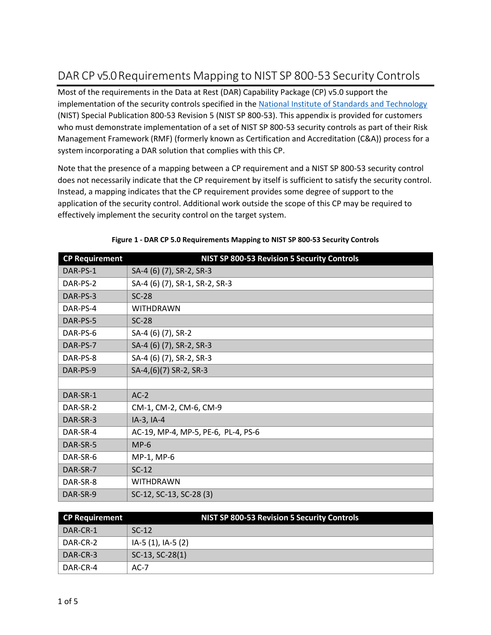## DAR CP v5.0 Requirements Mapping to NIST SP 800-53 Security Controls

Most of the requirements in the Data at Rest (DAR) Capability Package (CP) v5.0 support the implementation of the security controls specified in the National Institute of Standards and Technology (NIST) Special Publication 800-53 Revision 5 (NIST SP 800-53). This appendix is provided for customers who must demonstrate implementation of a set of NIST SP 800-53 security controls as part of their Risk Management Framework (RMF) (formerly known as Certification and Accreditation (C&A)) process for a system incorporating a DAR solution that complies with this CP.

Note that the presence of a mapping between a CP requirement and a NIST SP 800-53 security control does not necessarily indicate that the CP requirement by itself is sufficient to satisfy the security control. Instead, a mapping indicates that the CP requirement provides some degree of support to the application of the security control. Additional work outside the scope of this CP may be required to effectively implement the security control on the target system.

| <b>CP Requirement</b> | NIST SP 800-53 Revision 5 Security Controls |
|-----------------------|---------------------------------------------|
| DAR-PS-1              | SA-4 (6) (7), SR-2, SR-3                    |
| DAR-PS-2              | SA-4 (6) (7), SR-1, SR-2, SR-3              |
| DAR-PS-3              | $SC-28$                                     |
| DAR-PS-4              | WITHDRAWN                                   |
| DAR-PS-5              | $SC-28$                                     |
| DAR-PS-6              | SA-4 (6) (7), SR-2                          |
| DAR-PS-7              | SA-4 (6) (7), SR-2, SR-3                    |
| DAR-PS-8              | SA-4 (6) (7), SR-2, SR-3                    |
| DAR-PS-9              | SA-4,(6)(7) SR-2, SR-3                      |
|                       |                                             |
| DAR-SR-1              | $AC-2$                                      |
| DAR-SR-2              | CM-1, CM-2, CM-6, CM-9                      |
| DAR-SR-3              | IA-3, IA-4                                  |
| DAR-SR-4              | AC-19, MP-4, MP-5, PE-6, PL-4, PS-6         |
| DAR-SR-5              | $MP-6$                                      |
| DAR-SR-6              | MP-1, MP-6                                  |
| DAR-SR-7              | $SC-12$                                     |
| DAR-SR-8              | <b>WITHDRAWN</b>                            |
| DAR-SR-9              | SC-12, SC-13, SC-28 (3)                     |

|  |  | Figure 1 - DAR CP 5.0 Requirements Mapping to NIST SP 800-53 Security Controls |
|--|--|--------------------------------------------------------------------------------|
|--|--|--------------------------------------------------------------------------------|

| <b>CP Requirement</b> | NIST SP 800-53 Revision 5 Security Controls |
|-----------------------|---------------------------------------------|
| DAR-CR-1              | $SC-12$                                     |
| DAR-CR-2              | IA-5 (1), IA-5 (2)                          |
| DAR-CR-3              | $SC-13$ , $SC-28(1)$                        |
| DAR-CR-4              | AC-7                                        |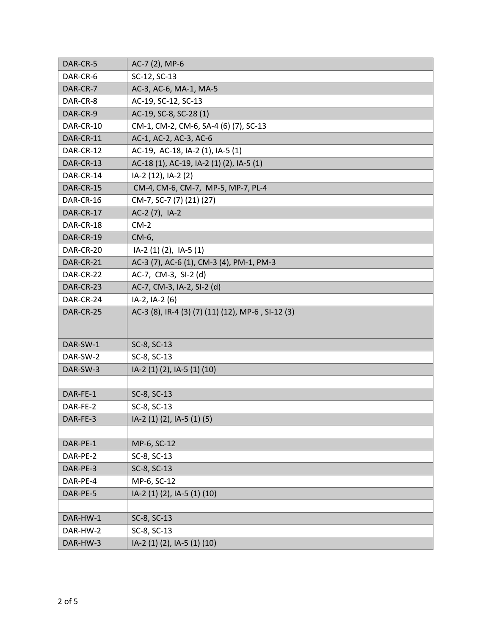| DAR-CR-5  | AC-7 (2), MP-6                                    |
|-----------|---------------------------------------------------|
| DAR-CR-6  | SC-12, SC-13                                      |
| DAR-CR-7  | AC-3, AC-6, MA-1, MA-5                            |
| DAR-CR-8  | AC-19, SC-12, SC-13                               |
| DAR-CR-9  | AC-19, SC-8, SC-28 (1)                            |
| DAR-CR-10 | CM-1, CM-2, CM-6, SA-4 (6) (7), SC-13             |
| DAR-CR-11 | AC-1, AC-2, AC-3, AC-6                            |
| DAR-CR-12 | AC-19, AC-18, IA-2 (1), IA-5 (1)                  |
| DAR-CR-13 | AC-18 (1), AC-19, IA-2 (1) (2), IA-5 (1)          |
| DAR-CR-14 | IA-2 (12), IA-2 (2)                               |
| DAR-CR-15 | CM-4, CM-6, CM-7, MP-5, MP-7, PL-4                |
| DAR-CR-16 | CM-7, SC-7 (7) (21) (27)                          |
| DAR-CR-17 | AC-2 (7), IA-2                                    |
| DAR-CR-18 | $CM-2$                                            |
| DAR-CR-19 | CM-6,                                             |
| DAR-CR-20 | IA-2 (1) (2), IA-5 (1)                            |
| DAR-CR-21 | AC-3 (7), AC-6 (1), CM-3 (4), PM-1, PM-3          |
| DAR-CR-22 | AC-7, CM-3, SI-2 (d)                              |
| DAR-CR-23 | AC-7, CM-3, IA-2, SI-2 (d)                        |
| DAR-CR-24 | IA-2, IA-2 (6)                                    |
| DAR-CR-25 | AC-3 (8), IR-4 (3) (7) (11) (12), MP-6, SI-12 (3) |
| DAR-SW-1  | SC-8, SC-13                                       |
| DAR-SW-2  | SC-8, SC-13                                       |
| DAR-SW-3  | IA-2 (1) (2), IA-5 (1) (10)                       |
|           |                                                   |
| DAR-FE-1  | SC-8, SC-13                                       |
| DAR-FE-2  | SC-8, SC-13                                       |
| DAR-FE-3  | IA-2 (1) (2), IA-5 (1) (5)                        |
|           |                                                   |
| DAR-PE-1  | MP-6, SC-12                                       |
| DAR-PE-2  | SC-8, SC-13                                       |
| DAR-PE-3  | SC-8, SC-13                                       |
| DAR-PE-4  | MP-6, SC-12                                       |
| DAR-PE-5  | IA-2 (1) (2), IA-5 (1) (10)                       |
|           |                                                   |
| DAR-HW-1  | SC-8, SC-13                                       |
| DAR-HW-2  | SC-8, SC-13                                       |
| DAR-HW-3  | IA-2 (1) (2), IA-5 (1) (10)                       |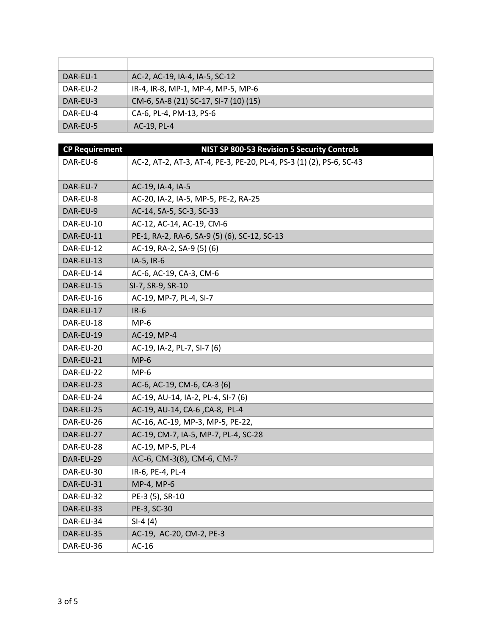| DAR-EU-1 | AC-2, AC-19, IA-4, IA-5, SC-12        |
|----------|---------------------------------------|
| DAR-EU-2 | IR-4, IR-8, MP-1, MP-4, MP-5, MP-6    |
| DAR-EU-3 | CM-6, SA-8 (21) SC-17, SI-7 (10) (15) |
| DAR-EU-4 | CA-6, PL-4, PM-13, PS-6               |
| DAR-EU-5 | AC-19, PL-4                           |

| <b>CP Requirement</b> | NIST SP 800-53 Revision 5 Security Controls                          |
|-----------------------|----------------------------------------------------------------------|
| DAR-EU-6              | AC-2, AT-2, AT-3, AT-4, PE-3, PE-20, PL-4, PS-3 (1) (2), PS-6, SC-43 |
|                       |                                                                      |
| DAR-EU-7              | AC-19, IA-4, IA-5                                                    |
| DAR-EU-8              | AC-20, IA-2, IA-5, MP-5, PE-2, RA-25                                 |
| DAR-EU-9              | AC-14, SA-5, SC-3, SC-33                                             |
| DAR-EU-10             | AC-12, AC-14, AC-19, CM-6                                            |
| DAR-EU-11             | PE-1, RA-2, RA-6, SA-9 (5) (6), SC-12, SC-13                         |
| DAR-EU-12             | AC-19, RA-2, SA-9 (5) (6)                                            |
| DAR-EU-13             | IA-5, IR-6                                                           |
| DAR-EU-14             | AC-6, AC-19, CA-3, CM-6                                              |
| DAR-EU-15             | SI-7, SR-9, SR-10                                                    |
| DAR-EU-16             | AC-19, MP-7, PL-4, SI-7                                              |
| DAR-EU-17             | $IR-6$                                                               |
| DAR-EU-18             | $MP-6$                                                               |
| DAR-EU-19             | AC-19, MP-4                                                          |
| DAR-EU-20             | AC-19, IA-2, PL-7, SI-7 (6)                                          |
| DAR-EU-21             | $MP-6$                                                               |
| DAR-EU-22             | $MP-6$                                                               |
| DAR-EU-23             | AC-6, AC-19, CM-6, CA-3 (6)                                          |
| DAR-EU-24             | AC-19, AU-14, IA-2, PL-4, SI-7 (6)                                   |
| DAR-EU-25             | AC-19, AU-14, CA-6, CA-8, PL-4                                       |
| DAR-EU-26             | AC-16, AC-19, MP-3, MP-5, PE-22,                                     |
| DAR-EU-27             | AC-19, CM-7, IA-5, MP-7, PL-4, SC-28                                 |
| DAR-EU-28             | AC-19, MP-5, PL-4                                                    |
| DAR-EU-29             | AC-6, CM-3(8), CM-6, CM-7                                            |
| DAR-EU-30             | IR-6, PE-4, PL-4                                                     |
| DAR-EU-31             | MP-4, MP-6                                                           |
| DAR-EU-32             | PE-3 (5), SR-10                                                      |
| DAR-EU-33             | PE-3, SC-30                                                          |
| DAR-EU-34             | $SI-4(4)$                                                            |
| DAR-EU-35             | AC-19, AC-20, CM-2, PE-3                                             |
| DAR-EU-36             | $AC-16$                                                              |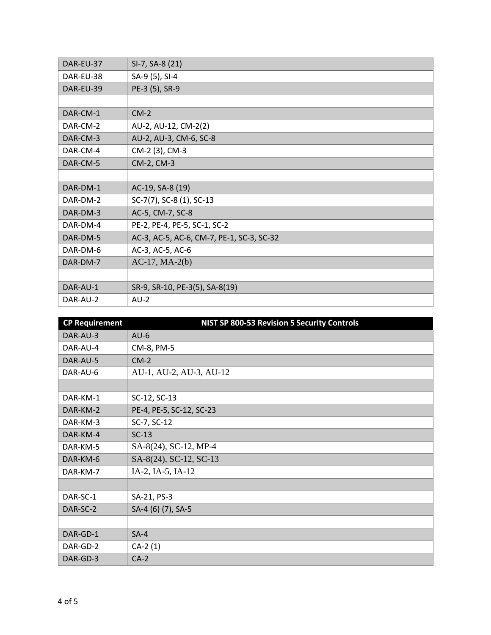| DAR-EU-37 | SI-7, SA-8 (21)                           |
|-----------|-------------------------------------------|
| DAR-EU-38 | SA-9 (5), SI-4                            |
| DAR-EU-39 | PE-3 (5), SR-9                            |
|           |                                           |
| DAR-CM-1  | $CM-2$                                    |
| DAR-CM-2  | AU-2, AU-12, CM-2(2)                      |
| DAR-CM-3  | AU-2, AU-3, CM-6, SC-8                    |
| DAR-CM-4  | CM-2 (3), CM-3                            |
| DAR-CM-5  | CM-2, CM-3                                |
|           |                                           |
| DAR-DM-1  | AC-19, SA-8 (19)                          |
| DAR-DM-2  | SC-7(7), SC-8 (1), SC-13                  |
| DAR-DM-3  | AC-5, CM-7, SC-8                          |
| DAR-DM-4  | PE-2, PE-4, PE-5, SC-1, SC-2              |
| DAR-DM-5  | AC-3, AC-5, AC-6, CM-7, PE-1, SC-3, SC-32 |
| DAR-DM-6  | AC-3, AC-5, AC-6                          |
| DAR-DM-7  | $AC-17$ , $MA-2(b)$                       |
|           |                                           |
| DAR-AU-1  | SR-9, SR-10, PE-3(5), SA-8(19)            |
| DAR-AU-2  | $AU-2$                                    |

| <b>CP Requirement</b> | NIST SP 800-53 Revision 5 Security Controls |
|-----------------------|---------------------------------------------|
| DAR-AU-3              | $AU-6$                                      |
| DAR-AU-4              | CM-8, PM-5                                  |
| DAR-AU-5              | $CM-2$                                      |
| DAR-AU-6              | AU-1, AU-2, AU-3, AU-12                     |
|                       |                                             |
| DAR-KM-1              | SC-12, SC-13                                |
| DAR-KM-2              | PE-4, PE-5, SC-12, SC-23                    |
| DAR-KM-3              | SC-7, SC-12                                 |
| DAR-KM-4              | $SC-13$                                     |
| DAR-KM-5              | SA-8(24), SC-12, MP-4                       |
| DAR-KM-6              | SA-8(24), SC-12, SC-13                      |
| DAR-KM-7              | IA-2, IA-5, IA-12                           |
|                       |                                             |
| DAR-SC-1              | SA-21, PS-3                                 |
| DAR-SC-2              | SA-4 (6) (7), SA-5                          |
|                       |                                             |
| DAR-GD-1              | $SA-4$                                      |
| DAR-GD-2              | $CA-2(1)$                                   |
| DAR-GD-3              | $CA-2$                                      |